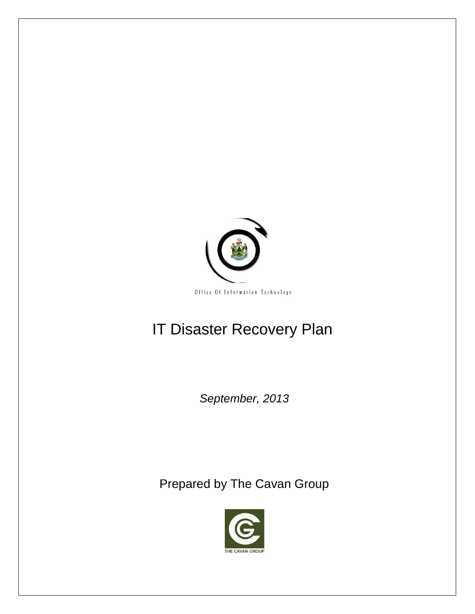

# IT Disaster Recovery Plan

*September, 2013*

Prepared by The Cavan Group

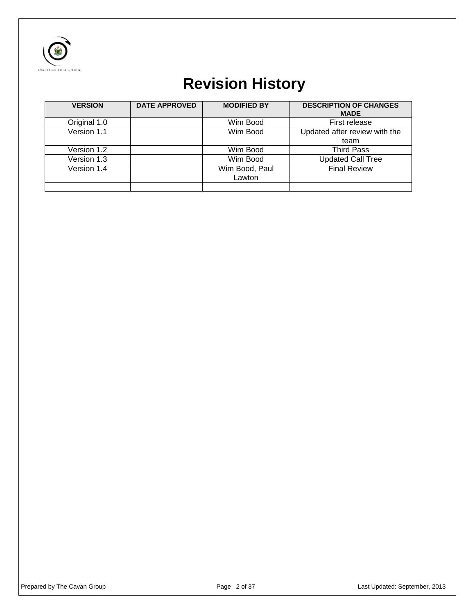

# **Revision History**

| <b>VERSION</b> | <b>DATE APPROVED</b> | <b>MODIFIED BY</b> | <b>DESCRIPTION OF CHANGES</b><br><b>MADE</b> |
|----------------|----------------------|--------------------|----------------------------------------------|
| Original 1.0   |                      | Wim Bood           | First release                                |
| Version 1.1    |                      | Wim Bood           | Updated after review with the                |
|                |                      |                    | team                                         |
| Version 1.2    |                      | Wim Bood           | <b>Third Pass</b>                            |
| Version 1.3    |                      | Wim Bood           | <b>Updated Call Tree</b>                     |
| Version 1.4    |                      | Wim Bood, Paul     | <b>Final Review</b>                          |
|                |                      | Lawton             |                                              |
|                |                      |                    |                                              |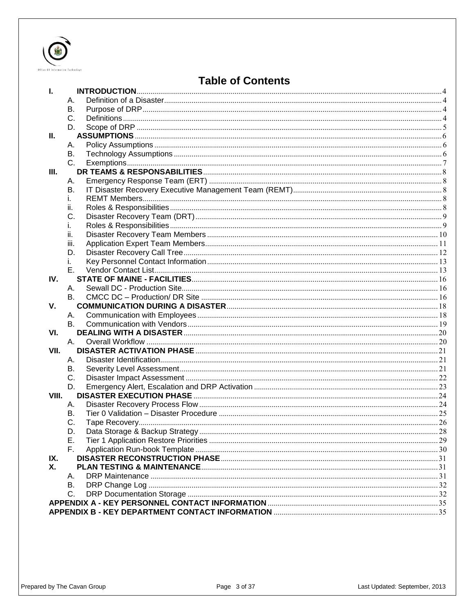

# **Table of Contents**

| ı.    |                 |                                |    |
|-------|-----------------|--------------------------------|----|
|       | А.              |                                |    |
|       | В.              |                                |    |
|       | C.              |                                |    |
|       | D.              |                                |    |
| Ш.    |                 |                                |    |
|       | А.              |                                |    |
|       | В.              |                                |    |
|       | C.              |                                |    |
| III.  |                 |                                |    |
|       | А.              |                                |    |
|       | В.              |                                |    |
|       | L.              |                                |    |
|       | н.              |                                |    |
|       | C.              |                                |    |
|       | ı.              |                                |    |
|       | Îİ.             |                                |    |
|       | Ш.              |                                |    |
|       | D.              |                                |    |
|       |                 |                                |    |
|       | Е.              |                                |    |
| IV.   |                 |                                |    |
|       | А.              |                                |    |
|       | <b>B.</b>       |                                |    |
| V.    |                 |                                |    |
|       | А.<br><b>B.</b> |                                |    |
| VI.   |                 |                                |    |
|       | А.              |                                |    |
| VII.  |                 |                                |    |
|       | А.              |                                |    |
|       | В.              |                                |    |
|       | C.              |                                |    |
|       | D.              |                                |    |
| VIII. |                 |                                |    |
|       | А.              |                                |    |
|       | В.              |                                |    |
|       | C.              |                                |    |
|       | D.              | Data Storage & Backup Strategy | 28 |
|       | Е.              |                                |    |
|       | Е.              |                                |    |
| IX.   |                 |                                |    |
| Χ.    |                 |                                |    |
|       | А.              |                                |    |
|       | В.              |                                |    |
|       | C.              |                                |    |
|       |                 |                                |    |
|       |                 |                                |    |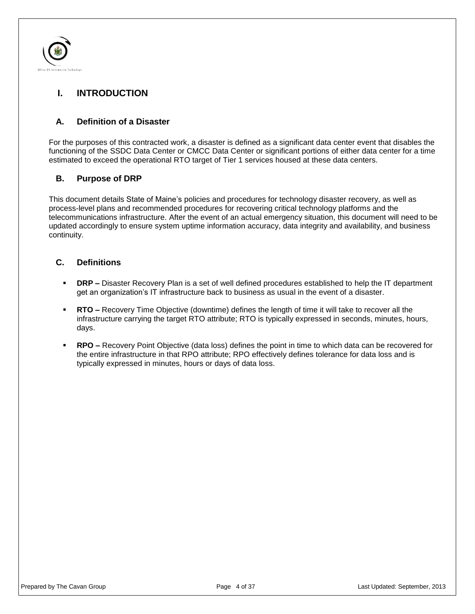

# <span id="page-3-0"></span>**I. INTRODUCTION**

## <span id="page-3-1"></span>**A. Definition of a Disaster**

For the purposes of this contracted work, a disaster is defined as a significant data center event that disables the functioning of the SSDC Data Center or CMCC Data Center or significant portions of either data center for a time estimated to exceed the operational RTO target of Tier 1 services housed at these data centers.

## <span id="page-3-2"></span>**B. Purpose of DRP**

This document details State of Maine's policies and procedures for technology disaster recovery, as well as process-level plans and recommended procedures for recovering critical technology platforms and the telecommunications infrastructure. After the event of an actual emergency situation, this document will need to be updated accordingly to ensure system uptime information accuracy, data integrity and availability, and business continuity.

## <span id="page-3-3"></span>**C. Definitions**

- **•** DRP Disaster Recovery Plan is a set of well defined procedures established to help the IT department get an organization's IT infrastructure back to business as usual in the event of a disaster.
- **RTO –** Recovery Time Objective (downtime) defines the length of time it will take to recover all the infrastructure carrying the target RTO attribute; RTO is typically expressed in seconds, minutes, hours, days.
- **RPO –** Recovery Point Objective (data loss) defines the point in time to which data can be recovered for the entire infrastructure in that RPO attribute; RPO effectively defines tolerance for data loss and is typically expressed in minutes, hours or days of data loss.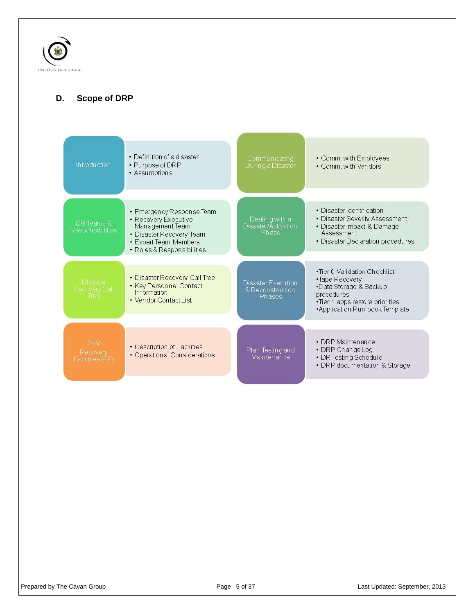

# <span id="page-4-0"></span>**D. Scope of DRP**

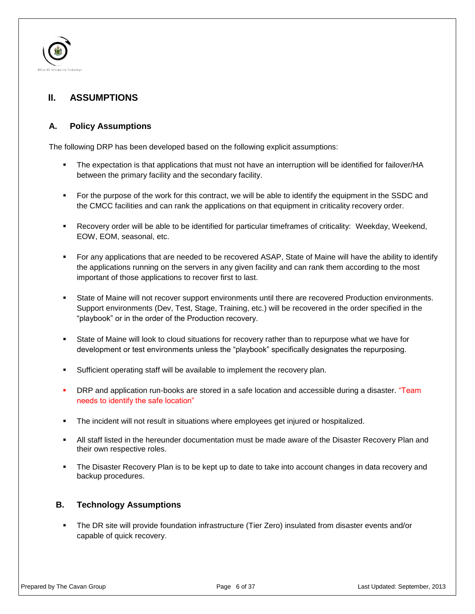

# <span id="page-5-0"></span>**II. ASSUMPTIONS**

## <span id="page-5-1"></span>**A. Policy Assumptions**

The following DRP has been developed based on the following explicit assumptions:

- The expectation is that applications that must not have an interruption will be identified for failover/HA between the primary facility and the secondary facility.
- For the purpose of the work for this contract, we will be able to identify the equipment in the SSDC and the CMCC facilities and can rank the applications on that equipment in criticality recovery order.
- Recovery order will be able to be identified for particular timeframes of criticality: Weekday, Weekend, EOW, EOM, seasonal, etc.
- For any applications that are needed to be recovered ASAP, State of Maine will have the ability to identify the applications running on the servers in any given facility and can rank them according to the most important of those applications to recover first to last.
- State of Maine will not recover support environments until there are recovered Production environments. Support environments (Dev, Test, Stage, Training, etc.) will be recovered in the order specified in the "playbook" or in the order of the Production recovery.
- State of Maine will look to cloud situations for recovery rather than to repurpose what we have for development or test environments unless the "playbook" specifically designates the repurposing.
- Sufficient operating staff will be available to implement the recovery plan.
- DRP and application run-books are stored in a safe location and accessible during a disaster. "Team needs to identify the safe location"
- The incident will not result in situations where employees get injured or hospitalized.
- All staff listed in the hereunder documentation must be made aware of the Disaster Recovery Plan and their own respective roles.
- The Disaster Recovery Plan is to be kept up to date to take into account changes in data recovery and backup procedures.

## <span id="page-5-2"></span>**B. Technology Assumptions**

 The DR site will provide foundation infrastructure (Tier Zero) insulated from disaster events and/or capable of quick recovery.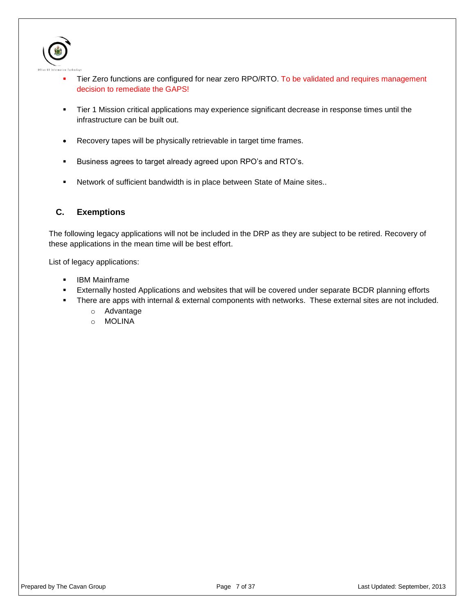

- Tier Zero functions are configured for near zero RPO/RTO. To be validated and requires management decision to remediate the GAPS!
- Tier 1 Mission critical applications may experience significant decrease in response times until the infrastructure can be built out.
- Recovery tapes will be physically retrievable in target time frames.
- Business agrees to target already agreed upon RPO's and RTO's.
- Network of sufficient bandwidth is in place between State of Maine sites..

## <span id="page-6-0"></span>**C. Exemptions**

The following legacy applications will not be included in the DRP as they are subject to be retired. Recovery of these applications in the mean time will be best effort.

List of legacy applications:

- **IBM Mainframe**
- Externally hosted Applications and websites that will be covered under separate BCDR planning efforts
- **There are apps with internal & external components with networks. These external sites are not included.** 
	- o Advantage
	- o MOLINA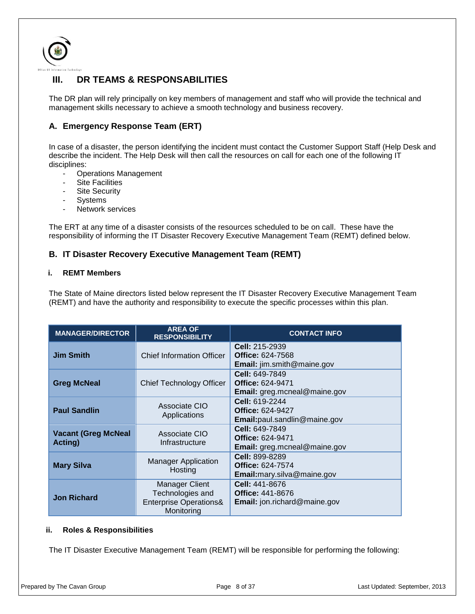

# <span id="page-7-0"></span>**III. DR TEAMS & RESPONSABILITIES**

The DR plan will rely principally on key members of management and staff who will provide the technical and management skills necessary to achieve a smooth technology and business recovery.

## <span id="page-7-1"></span>**A. Emergency Response Team (ERT)**

In case of a disaster, the person identifying the incident must contact the Customer Support Staff (Help Desk and describe the incident. The Help Desk will then call the resources on call for each one of the following IT disciplines:

- Operations Management
- Site Facilities
- Site Security
- **Systems**
- Network services

The ERT at any time of a disaster consists of the resources scheduled to be on call. These have the responsibility of informing the IT Disaster Recovery Executive Management Team (REMT) defined below.

## <span id="page-7-2"></span>**B. IT Disaster Recovery Executive Management Team (REMT)**

#### <span id="page-7-3"></span>**i. REMT Members**

The State of Maine directors listed below represent the IT Disaster Recovery Executive Management Team (REMT) and have the authority and responsibility to execute the specific processes within this plan.

| <b>MANAGER/DIRECTOR</b>               | <b>AREA OF</b><br><b>RESPONSIBILITY</b>                                                      | <b>CONTACT INFO</b>                                                                     |
|---------------------------------------|----------------------------------------------------------------------------------------------|-----------------------------------------------------------------------------------------|
| <b>Jim Smith</b>                      | <b>Chief Information Officer</b>                                                             | Cell: 215-2939<br><b>Office: 624-7568</b><br>Email: jim.smith@maine.gov                 |
| <b>Greg McNeal</b>                    | <b>Chief Technology Officer</b>                                                              | <b>Cell: 649-7849</b><br><b>Office: 624-9471</b><br><b>Email:</b> greg.mcneal@maine.gov |
| <b>Paul Sandlin</b>                   | Associate CIO<br>Applications                                                                | Cell: 619-2244<br><b>Office: 624-9427</b><br><b>Email:</b> paul.sandlin@maine.gov       |
| <b>Vacant (Greg McNeal</b><br>Acting) | Associate CIO<br>Infrastructure                                                              | Cell: 649-7849<br><b>Office: 624-9471</b><br><b>Email:</b> greg.mcneal@maine.gov        |
| <b>Mary Silva</b>                     | <b>Manager Application</b><br>Hosting                                                        | <b>Cell: 899-8289</b><br><b>Office: 624-7574</b><br><b>Email:</b> mary.silva@maine.gov  |
| <b>Jon Richard</b>                    | <b>Manager Client</b><br>Technologies and<br><b>Enterprise Operations&amp;</b><br>Monitoring | Cell: 441-8676<br><b>Office: 441-8676</b><br><b>Email:</b> jon.richard@maine.gov        |

#### <span id="page-7-4"></span>**ii. Roles & Responsibilities**

The IT Disaster Executive Management Team (REMT) will be responsible for performing the following: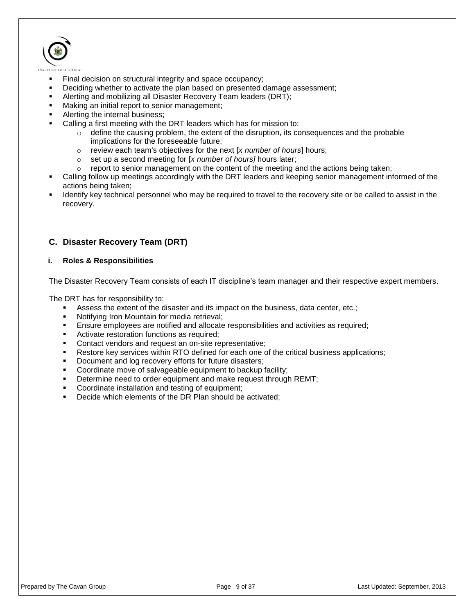

- Final decision on structural integrity and space occupancy;
- Deciding whether to activate the plan based on presented damage assessment;
- Alerting and mobilizing all Disaster Recovery Team leaders (DRT);
- Making an initial report to senior management;
- Alerting the internal business;
- Calling a first meeting with the DRT leaders which has for mission to:
	- $\circ$  define the causing problem, the extent of the disruption, its consequences and the probable implications for the foreseeable future;
	- o review each team's objectives for the next [*x number of hours*] hours;
	- o set up a second meeting for [*x number of hours]* hours later;
	- $\circ$  report to senior management on the content of the meeting and the actions being taken;
- Calling follow up meetings accordingly with the DRT leaders and keeping senior management informed of the actions being taken;
- Identify key technical personnel who may be required to travel to the recovery site or be called to assist in the recovery.

## <span id="page-8-0"></span>**C. Disaster Recovery Team (DRT)**

#### <span id="page-8-1"></span>**i. Roles & Responsibilities**

The Disaster Recovery Team consists of each IT discipline's team manager and their respective expert members.

The DRT has for responsibility to:

- Assess the extent of the disaster and its impact on the business, data center, etc.;
- Notifying Iron Mountain for media retrieval;
- Ensure employees are notified and allocate responsibilities and activities as required;
- **Activate restoration functions as required;**
- **Contact vendors and request an on-site representative;**
- Restore key services within RTO defined for each one of the critical business applications;
- Document and log recovery efforts for future disasters;
- **Coordinate move of salvageable equipment to backup facility;**
- Determine need to order equipment and make request through REMT;
- Coordinate installation and testing of equipment;
- Decide which elements of the DR Plan should be activated;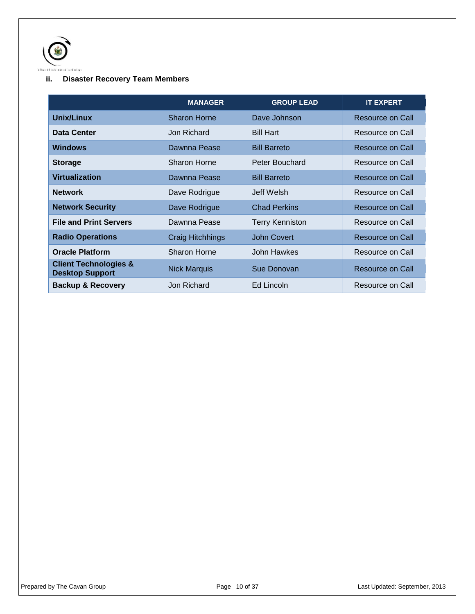

## <span id="page-9-0"></span>**ii. Disaster Recovery Team Members**

|                                                            | <b>MANAGER</b>          | <b>GROUP LEAD</b>      | <b>IT EXPERT</b> |
|------------------------------------------------------------|-------------------------|------------------------|------------------|
| Unix/Linux                                                 | <b>Sharon Horne</b>     | Dave Johnson           | Resource on Call |
| Data Center                                                | Jon Richard             | <b>Bill Hart</b>       | Resource on Call |
| <b>Windows</b>                                             | Dawnna Pease            | <b>Bill Barreto</b>    | Resource on Call |
| <b>Storage</b>                                             | Sharon Horne            | Peter Bouchard         | Resource on Call |
| <b>Virtualization</b>                                      | Dawnna Pease            | <b>Bill Barreto</b>    | Resource on Call |
| <b>Network</b>                                             | Dave Rodrigue           | Jeff Welsh             | Resource on Call |
| <b>Network Security</b>                                    | Dave Rodrigue           | <b>Chad Perkins</b>    | Resource on Call |
| <b>File and Print Servers</b>                              | Dawnna Pease            | <b>Terry Kenniston</b> | Resource on Call |
| <b>Radio Operations</b>                                    | <b>Craig Hitchhings</b> | <b>John Covert</b>     | Resource on Call |
| <b>Oracle Platform</b>                                     | Sharon Horne            | John Hawkes            | Resource on Call |
| <b>Client Technologies &amp;</b><br><b>Desktop Support</b> | <b>Nick Marquis</b>     | Sue Donovan            | Resource on Call |
| <b>Backup &amp; Recovery</b>                               | Jon Richard             | Ed Lincoln             | Resource on Call |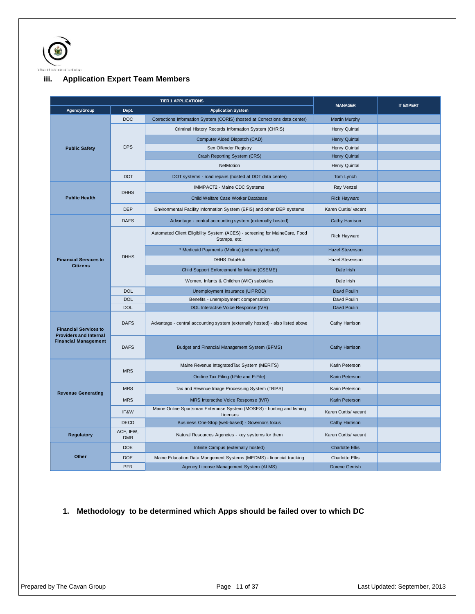

## <span id="page-10-0"></span>**iii. Application Expert Team Members**

|                                                               | <b>TIER 1 APPLICATIONS</b><br>Agency/Group<br>Dept.<br><b>Application System</b> |                                                                                            |                        | <b>IT EXPERT</b> |
|---------------------------------------------------------------|----------------------------------------------------------------------------------|--------------------------------------------------------------------------------------------|------------------------|------------------|
|                                                               |                                                                                  |                                                                                            | <b>MANAGER</b>         |                  |
|                                                               | <b>DOC</b>                                                                       | Corrections Information System (CORIS) (hosted at Corrections data center)                 | <b>Martin Murphy</b>   |                  |
|                                                               |                                                                                  | Criminal History Records Information System (CHRIS)                                        | Henry Quintal          |                  |
|                                                               |                                                                                  | Computer Aided Dispatch (CAD)                                                              | Henry Quintal          |                  |
| <b>Public Safety</b>                                          | <b>DPS</b>                                                                       | Sex Offender Registry                                                                      | Henry Quintal          |                  |
|                                                               |                                                                                  | Crash Reporting System (CRS)                                                               | Henry Quintal          |                  |
|                                                               |                                                                                  | NetMotion                                                                                  | Henry Quintal          |                  |
|                                                               | <b>DOT</b>                                                                       | DOT systems - road repairs (hosted at DOT data center)                                     | Tom Lynch              |                  |
|                                                               | <b>DHHS</b>                                                                      | IMMPACT2 - Maine CDC Systems                                                               | Ray Venzel             |                  |
| <b>Public Health</b>                                          |                                                                                  | Child Welfare Case Worker Database                                                         | <b>Rick Hayward</b>    |                  |
|                                                               | <b>DEP</b>                                                                       | Environmental Facility Information System (EFIS) and other DEP systems                     | Karen Curtis/ vacant   |                  |
|                                                               | <b>DAFS</b>                                                                      | Advantage - central accounting system (externally hosted)                                  | Cathy Harrison         |                  |
| <b>Financial Services to</b><br><b>Citizens</b>               |                                                                                  | Automated Client Eligibility System (ACES) - screening for MaineCare, Food<br>Stamps, etc. | Rick Hayward           |                  |
|                                                               |                                                                                  | * Medicaid Payments (Molina) (externally hosted)                                           | <b>Hazel Stevenson</b> |                  |
|                                                               | <b>DHHS</b>                                                                      | <b>DHHS DataHub</b>                                                                        | Hazel Stevenson        |                  |
|                                                               |                                                                                  | Child Support Enforcement for Maine (CSEME)                                                | Dale Irish             |                  |
|                                                               |                                                                                  | Women, Infants & Children (WIC) subsidies                                                  | Dale Irish             |                  |
|                                                               | <b>DOL</b>                                                                       | Unemployment Insurance (UIPROD)                                                            | David Poulin           |                  |
|                                                               | <b>DOL</b>                                                                       | Benefits - unemployment compensation                                                       | David Poulin           |                  |
|                                                               | <b>DOL</b>                                                                       | DOL Interactive Voice Response (IVR)                                                       | David Poulin           |                  |
| <b>Financial Services to</b><br><b>Providers and Internal</b> | <b>DAFS</b>                                                                      | Advantage - central accounting system (externally hosted) - also listed above              | Cathy Harrison         |                  |
| <b>Financial Management</b>                                   | <b>DAFS</b>                                                                      | Budget and Financial Management System (BFMS)                                              | Cathy Harrison         |                  |
|                                                               | <b>MRS</b>                                                                       | Maine Revenue IntegratedTax System (MERITS)                                                | Karin Peterson         |                  |
|                                                               |                                                                                  | On-line Tax Filing (I-File and E-File)                                                     | Karin Peterson         |                  |
| <b>Revenue Generating</b>                                     | <b>MRS</b>                                                                       | Tax and Revenue Image Processing System (TRIPS)                                            | Karin Peterson         |                  |
|                                                               | <b>MRS</b>                                                                       | MRS Interactive Voice Response (IVR)                                                       | Karin Peterson         |                  |
|                                                               | IF&W                                                                             | Maine Online Sportsman Enterprise System (MOSES) - hunting and fishing<br>Licenses         | Karen Curtis/ vacant   |                  |
|                                                               | <b>DECD</b>                                                                      | Business One-Stop (web-based) - Governor's focus                                           | Cathy Harrison         |                  |
| <b>Regulatory</b>                                             | ACF, IFW,<br><b>DMR</b>                                                          | Natural Resources Agencies - key systems for them                                          | Karen Curtis/ vacant   |                  |
|                                                               | <b>DOE</b>                                                                       | Infinite Campus (externally hosted)                                                        | <b>Charlotte Ellis</b> |                  |
| Other                                                         | <b>DOE</b>                                                                       | Maine Education Data Mangement Systems (MEDMS) - financial tracking                        | <b>Charlotte Ellis</b> |                  |
|                                                               | <b>PFR</b>                                                                       | Agency License Management System (ALMS)                                                    | Dorene Gerrish         |                  |

**1. Methodology to be determined which Apps should be failed over to which DC**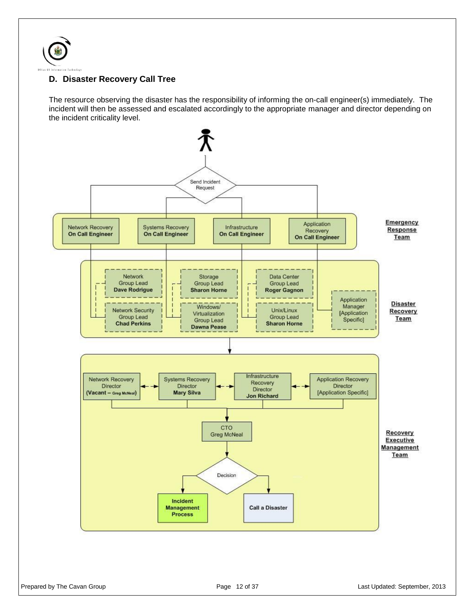

## <span id="page-11-0"></span>**D. Disaster Recovery Call Tree**

The resource observing the disaster has the responsibility of informing the on-call engineer(s) immediately. The incident will then be assessed and escalated accordingly to the appropriate manager and director depending on the incident criticality level.

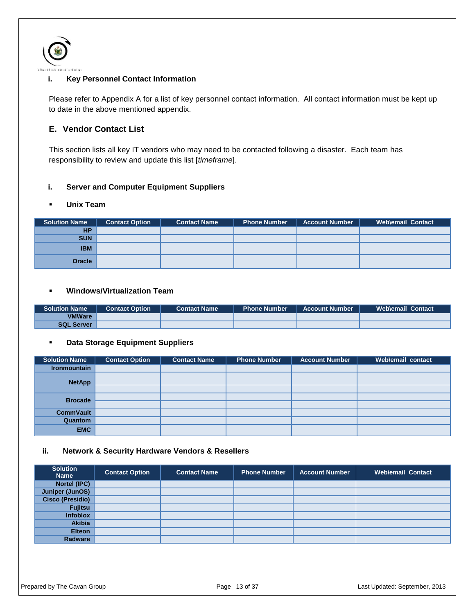

### <span id="page-12-0"></span>**i. Key Personnel Contact Information**

Please refer to Appendix A for a list of key personnel contact information. All contact information must be kept up to date in the above mentioned appendix.

## <span id="page-12-1"></span>**E. Vendor Contact List**

This section lists all key IT vendors who may need to be contacted following a disaster. Each team has responsibility to review and update this list [*timeframe*].

### **i. Server and Computer Equipment Suppliers**

### **Unix Team**

| <b>Solution Name</b> | <b>Contact Option</b> | <b>Contact Name</b> | <b>Phone Number</b> | <b>Account Number</b> | <b>Weblemail Contact</b> |
|----------------------|-----------------------|---------------------|---------------------|-----------------------|--------------------------|
| <b>HP</b>            |                       |                     |                     |                       |                          |
| <b>SUN</b>           |                       |                     |                     |                       |                          |
| <b>IBM</b>           |                       |                     |                     |                       |                          |
| Oracle               |                       |                     |                     |                       |                          |

### **Windows/Virtualization Team**

| <b>Solution Name</b> | Contact Option | <b>Contact Name</b> | <b>Phone Number</b> | <b>Account Number</b> | <b>Weblemail Contact</b> |
|----------------------|----------------|---------------------|---------------------|-----------------------|--------------------------|
| <b>VMWare</b>        |                |                     |                     |                       |                          |
| <b>SQL Server</b>    |                |                     |                     |                       |                          |

### **Data Storage Equipment Suppliers**

| <b>Solution Name</b> | <b>Contact Option</b> | <b>Contact Name</b> | <b>Phone Number</b> | <b>Account Number</b> | Web\email contact |
|----------------------|-----------------------|---------------------|---------------------|-----------------------|-------------------|
| <b>Ironmountain</b>  |                       |                     |                     |                       |                   |
| <b>NetApp</b>        |                       |                     |                     |                       |                   |
|                      |                       |                     |                     |                       |                   |
| <b>Brocade</b>       |                       |                     |                     |                       |                   |
|                      |                       |                     |                     |                       |                   |
| <b>CommVault</b>     |                       |                     |                     |                       |                   |
| Quantom              |                       |                     |                     |                       |                   |
| <b>EMC</b>           |                       |                     |                     |                       |                   |

### **ii. Network & Security Hardware Vendors & Resellers**

| <b>Solution</b><br><b>Name</b> | <b>Contact Option</b> | <b>Contact Name</b> | <b>Phone Number</b> | <b>Account Number</b> | <b>Weblemail Contact</b> |
|--------------------------------|-----------------------|---------------------|---------------------|-----------------------|--------------------------|
| Nortel (IPC)                   |                       |                     |                     |                       |                          |
| Juniper (JunOS)                |                       |                     |                     |                       |                          |
| <b>Cisco (Presidio)</b>        |                       |                     |                     |                       |                          |
| <b>Fujitsu</b>                 |                       |                     |                     |                       |                          |
| <b>Infoblox</b>                |                       |                     |                     |                       |                          |
| <b>Akibia</b>                  |                       |                     |                     |                       |                          |
| <b>Elteon</b>                  |                       |                     |                     |                       |                          |
| Radware                        |                       |                     |                     |                       |                          |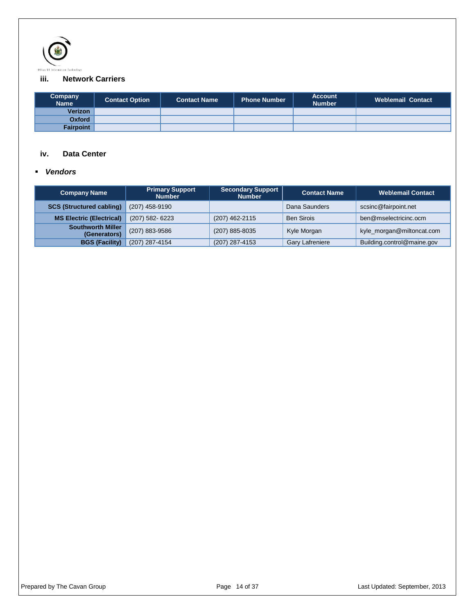

### **iii. Network Carriers**

| Company<br><b>Name</b> | <b>Contact Option</b> | <b>Contact Name</b> | <b>Phone Number</b> | <b>Account</b><br><b>Number</b> | Weblemail Contact |
|------------------------|-----------------------|---------------------|---------------------|---------------------------------|-------------------|
| <b>Verizon</b>         |                       |                     |                     |                                 |                   |
| Oxford                 |                       |                     |                     |                                 |                   |
| Fairpoint              |                       |                     |                     |                                 |                   |

## **iv. Data Center**

#### *Vendors*

| <b>Company Name</b>                      | <b>Primary Support</b><br><b>Number</b> | <b>Secondary Support</b><br><b>Number</b> | <b>Contact Name</b>    | <b>Weblemail Contact</b>   |
|------------------------------------------|-----------------------------------------|-------------------------------------------|------------------------|----------------------------|
| <b>SCS (Structured cabling)</b>          | (207) 458-9190                          |                                           | Dana Saunders          | scsinc@fairpoint.net       |
| <b>MS Electric (Electrical)</b>          | (207) 582- 6223                         | (207) 462-2115                            | <b>Ben Sirois</b>      | ben@mselectricinc.ocm      |
| <b>Southworth Miller</b><br>(Generators) | (207) 883-9586                          | (207) 885-8035                            | Kyle Morgan            | kyle_morgan@miltoncat.com  |
| <b>BGS (Facility)</b>                    | (207) 287-4154                          | $(207)$ 287-4153                          | <b>Gary Lafreniere</b> | Building.control@maine.gov |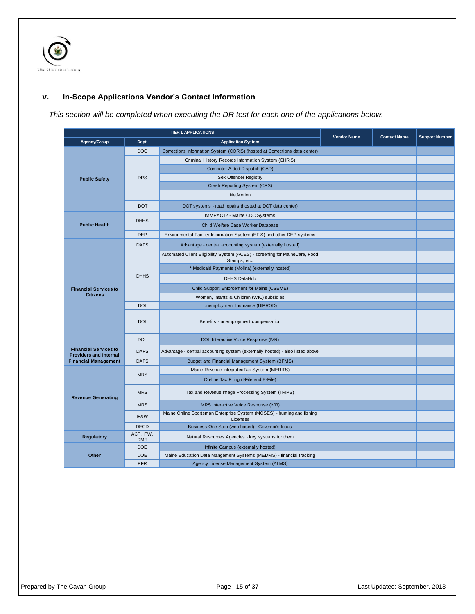

# **v. In-Scope Applications Vendor's Contact Information**

*This section will be completed when executing the DR test for each one of the applications below.*

|                                                               |                         | <b>TIER 1 APPLICATIONS</b>                                                                 |                    | <b>Contact Name</b> |                       |
|---------------------------------------------------------------|-------------------------|--------------------------------------------------------------------------------------------|--------------------|---------------------|-----------------------|
| Agency/Group                                                  | Dept.                   | <b>Application System</b>                                                                  | <b>Vendor Name</b> |                     | <b>Support Number</b> |
|                                                               | <b>DOC</b>              | Corrections Information System (CORIS) (hosted at Corrections data center)                 |                    |                     |                       |
| <b>Public Safety</b>                                          |                         | Criminal History Records Information System (CHRIS)                                        |                    |                     |                       |
|                                                               |                         | Computer Aided Dispatch (CAD)                                                              |                    |                     |                       |
|                                                               | <b>DPS</b>              | Sex Offender Registry                                                                      |                    |                     |                       |
|                                                               |                         | Crash Reporting System (CRS)                                                               |                    |                     |                       |
|                                                               |                         | <b>NetMotion</b>                                                                           |                    |                     |                       |
|                                                               | <b>DOT</b>              | DOT systems - road repairs (hosted at DOT data center)                                     |                    |                     |                       |
|                                                               |                         | IMMPACT2 - Maine CDC Systems                                                               |                    |                     |                       |
| <b>Public Health</b>                                          | <b>DHHS</b>             | Child Welfare Case Worker Database                                                         |                    |                     |                       |
|                                                               | <b>DEP</b>              | Environmental Facility Information System (EFIS) and other DEP systems                     |                    |                     |                       |
|                                                               | <b>DAFS</b>             | Advantage - central accounting system (externally hosted)                                  |                    |                     |                       |
|                                                               |                         | Automated Client Eligibility System (ACES) - screening for MaineCare, Food<br>Stamps, etc. |                    |                     |                       |
|                                                               |                         | * Medicaid Payments (Molina) (externally hosted)                                           |                    |                     |                       |
| <b>Financial Services to</b><br><b>Citizens</b>               | <b>DHHS</b>             | <b>DHHS DataHub</b>                                                                        |                    |                     |                       |
|                                                               |                         | Child Support Enforcement for Maine (CSEME)                                                |                    |                     |                       |
|                                                               |                         | Women, Infants & Children (WIC) subsidies                                                  |                    |                     |                       |
|                                                               | <b>DOL</b>              | Unemployment Insurance (UIPROD)                                                            |                    |                     |                       |
|                                                               | <b>DOL</b>              | Benefits - unemployment compensation                                                       |                    |                     |                       |
|                                                               | <b>DOL</b>              | DOL Interactive Voice Response (IVR)                                                       |                    |                     |                       |
| <b>Financial Services to</b><br><b>Providers and Internal</b> | <b>DAFS</b>             | Advantage - central accounting system (externally hosted) - also listed above              |                    |                     |                       |
| <b>Financial Management</b>                                   | <b>DAFS</b>             | Budget and Financial Management System (BFMS)                                              |                    |                     |                       |
|                                                               |                         | Maine Revenue IntegratedTax System (MERITS)                                                |                    |                     |                       |
|                                                               | <b>MRS</b>              | On-line Tax Filing (I-File and E-File)                                                     |                    |                     |                       |
| <b>Revenue Generating</b>                                     | <b>MRS</b>              | Tax and Revenue Image Processing System (TRIPS)                                            |                    |                     |                       |
|                                                               | <b>MRS</b>              | MRS Interactive Voice Response (IVR)                                                       |                    |                     |                       |
|                                                               | IF&W                    | Maine Online Sportsman Enterprise System (MOSES) - hunting and fishing<br>Licenses         |                    |                     |                       |
|                                                               | <b>DECD</b>             | Business One-Stop (web-based) - Governor's focus                                           |                    |                     |                       |
| <b>Regulatory</b>                                             | ACF, IFW,<br><b>DMR</b> | Natural Resources Agencies - key systems for them                                          |                    |                     |                       |
|                                                               | <b>DOE</b>              | Infinite Campus (externally hosted)                                                        |                    |                     |                       |
| Other                                                         | <b>DOE</b>              | Maine Education Data Mangement Systems (MEDMS) - financial tracking                        |                    |                     |                       |
|                                                               | <b>PFR</b>              | Agency License Management System (ALMS)                                                    |                    |                     |                       |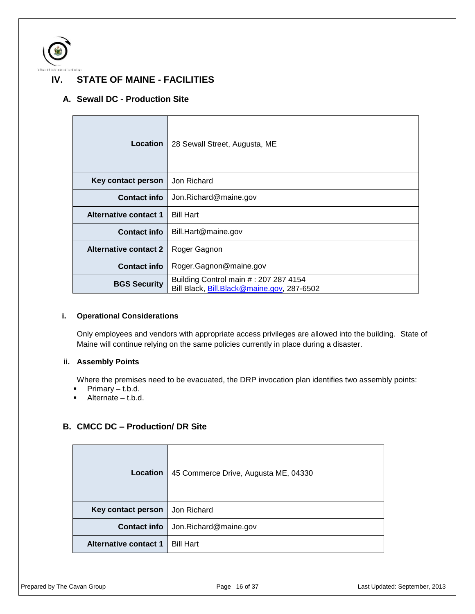

# <span id="page-15-1"></span><span id="page-15-0"></span>**IV. STATE OF MAINE - FACILITIES**

## **A. Sewall DC - Production Site**

| Location                     | 28 Sewall Street, Augusta, ME                                                       |  |
|------------------------------|-------------------------------------------------------------------------------------|--|
| Key contact person           | Jon Richard                                                                         |  |
| <b>Contact info</b>          | Jon.Richard@maine.gov                                                               |  |
| <b>Alternative contact 1</b> | <b>Bill Hart</b>                                                                    |  |
| <b>Contact info</b>          | Bill.Hart@maine.gov                                                                 |  |
| <b>Alternative contact 2</b> | Roger Gagnon                                                                        |  |
| <b>Contact info</b>          | Roger.Gagnon@maine.gov                                                              |  |
| <b>BGS Security</b>          | Building Control main #: 207 287 4154<br>Bill Black, Bill.Black@maine.gov, 287-6502 |  |

## **i. Operational Considerations**

Only employees and vendors with appropriate access privileges are allowed into the building. State of Maine will continue relying on the same policies currently in place during a disaster.

## **ii. Assembly Points**

Where the premises need to be evacuated, the DRP invocation plan identifies two assembly points:

- $\blacksquare$  Primary t.b.d.
- Alternate t.b.d.

## <span id="page-15-2"></span>**B. CMCC DC – Production/ DR Site**

| <b>Location</b>              | 45 Commerce Drive, Augusta ME, 04330 |  |
|------------------------------|--------------------------------------|--|
| Key contact person           | Jon Richard                          |  |
| <b>Contact info</b>          | Jon.Richard@maine.gov                |  |
| <b>Alternative contact 1</b> | <b>Bill Hart</b>                     |  |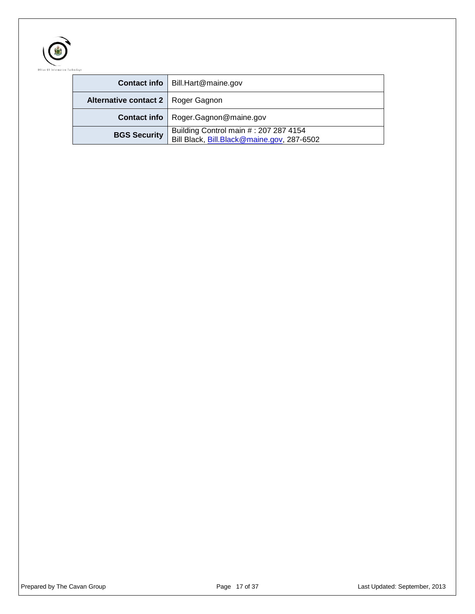

|                                      | <b>Contact info</b>   Bill.Hart@maine.gov                                           |  |
|--------------------------------------|-------------------------------------------------------------------------------------|--|
| Alternative contact 2   Roger Gagnon |                                                                                     |  |
|                                      | <b>Contact info</b>   Roger.Gagnon@maine.gov                                        |  |
| <b>BGS Security</b>                  | Building Control main #: 207 287 4154<br>Bill Black, Bill.Black@maine.gov, 287-6502 |  |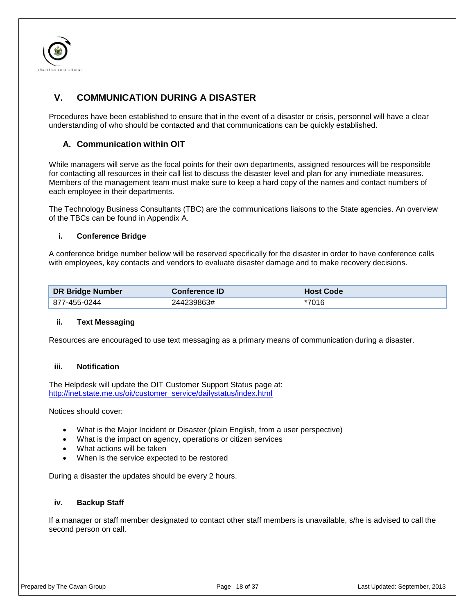

# <span id="page-17-0"></span>**V. COMMUNICATION DURING A DISASTER**

<span id="page-17-1"></span>Procedures have been established to ensure that in the event of a disaster or crisis, personnel will have a clear understanding of who should be contacted and that communications can be quickly established.

## **A. Communication within OIT**

While managers will serve as the focal points for their own departments, assigned resources will be responsible for contacting all resources in their call list to discuss the disaster level and plan for any immediate measures. Members of the management team must make sure to keep a hard copy of the names and contact numbers of each employee in their departments.

The Technology Business Consultants (TBC) are the communications liaisons to the State agencies. An overview of the TBCs can be found in Appendix A.

### **i. Conference Bridge**

A conference bridge number bellow will be reserved specifically for the disaster in order to have conference calls with employees, key contacts and vendors to evaluate disaster damage and to make recovery decisions.

| DR Bridge Number | <b>Conference ID</b> | <b>Host Code</b> |
|------------------|----------------------|------------------|
| 877-455-0244     | 244239863#           | *7016            |

### **ii. Text Messaging**

Resources are encouraged to use text messaging as a primary means of communication during a disaster.

#### **iii. Notification**

The Helpdesk will update the OIT Customer Support Status page at: [http://inet.state.me.us/oit/customer\\_service/dailystatus/index.html](http://inet.state.me.us/oit/customer_service/dailystatus/index.html)

Notices should cover:

- What is the Major Incident or Disaster (plain English, from a user perspective)
- What is the impact on agency, operations or citizen services
- What actions will be taken
- When is the service expected to be restored

During a disaster the updates should be every 2 hours.

#### **iv. Backup Staff**

If a manager or staff member designated to contact other staff members is unavailable, s/he is advised to call the second person on call.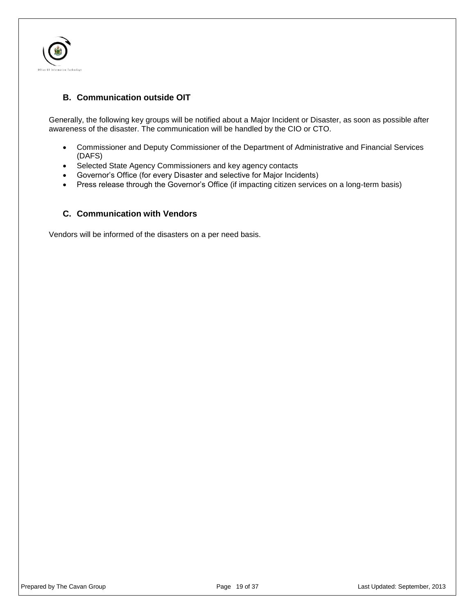

# **B. Communication outside OIT**

Generally, the following key groups will be notified about a Major Incident or Disaster, as soon as possible after awareness of the disaster. The communication will be handled by the CIO or CTO.

- Commissioner and Deputy Commissioner of the Department of Administrative and Financial Services (DAFS)
- Selected State Agency Commissioners and key agency contacts
- Governor's Office (for every Disaster and selective for Major Incidents)
- Press release through the Governor's Office (if impacting citizen services on a long-term basis)

## <span id="page-18-0"></span>**C. Communication with Vendors**

Vendors will be informed of the disasters on a per need basis.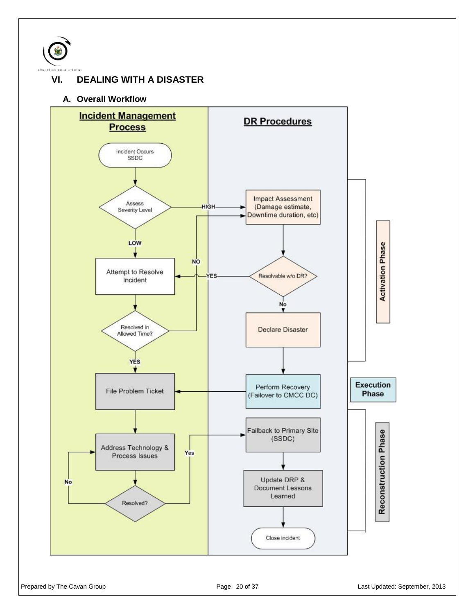

# <span id="page-19-1"></span><span id="page-19-0"></span>**VI. DEALING WITH A DISASTER**

## **A. Overall Workflow**

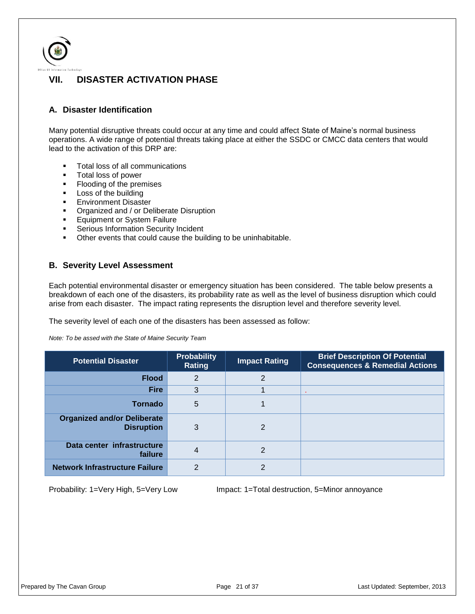

# <span id="page-20-0"></span>**VII. DISASTER ACTIVATION PHASE**

## <span id="page-20-1"></span>**A. Disaster Identification**

Many potential disruptive threats could occur at any time and could affect State of Maine's normal business operations. A wide range of potential threats taking place at either the SSDC or CMCC data centers that would lead to the activation of this DRP are:

- **Total loss of all communications**
- **Total loss of power**
- Flooding of the premises
- **Loss of the building**
- **Environment Disaster**
- **•** Organized and / or Deliberate Disruption
- **Equipment or System Failure**
- **Serious Information Security Incident**
- Other events that could cause the building to be uninhabitable.

## <span id="page-20-2"></span>**B. Severity Level Assessment**

Each potential environmental disaster or emergency situation has been considered. The table below presents a breakdown of each one of the disasters, its probability rate as well as the level of business disruption which could arise from each disaster. The impact rating represents the disruption level and therefore severity level.

The severity level of each one of the disasters has been assessed as follow:

*Note: To be assed with the State of Maine Security Team*

| <b>Potential Disaster</b>                               | <b>Probability</b><br>Rating | <b>Impact Rating</b> | <b>Brief Description Of Potential</b><br><b>Consequences &amp; Remedial Actions</b> |
|---------------------------------------------------------|------------------------------|----------------------|-------------------------------------------------------------------------------------|
| <b>Flood</b>                                            | 2                            | $\mathbf{2}$         |                                                                                     |
| <b>Fire</b>                                             | 3                            |                      |                                                                                     |
| <b>Tornado</b>                                          | 5                            |                      |                                                                                     |
| <b>Organized and/or Deliberate</b><br><b>Disruption</b> | 3                            | 2                    |                                                                                     |
| Data center infrastructure<br>failure                   | $\overline{4}$               | 2                    |                                                                                     |
| Network Infrastructure Failure                          | $\mathcal{P}$                | 2                    |                                                                                     |

Probability: 1=Very High, 5=Very Low Impact: 1=Total destruction, 5=Minor annoyance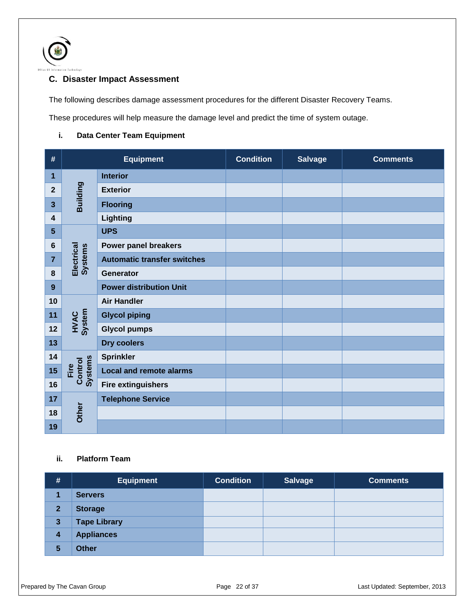

# <span id="page-21-0"></span>**C. Disaster Impact Assessment**

The following describes damage assessment procedures for the different Disaster Recovery Teams.

These procedures will help measure the damage level and predict the time of system outage.

## **i. Data Center Team Equipment**

| #                       |                                   | <b>Equipment</b>                   | <b>Condition</b> | <b>Salvage</b> | <b>Comments</b> |
|-------------------------|-----------------------------------|------------------------------------|------------------|----------------|-----------------|
| 1                       |                                   | <b>Interior</b>                    |                  |                |                 |
| $\mathbf 2$             | Building                          | <b>Exterior</b>                    |                  |                |                 |
| $\mathbf{3}$            |                                   | <b>Flooring</b>                    |                  |                |                 |
| $\overline{\mathbf{4}}$ |                                   | Lighting                           |                  |                |                 |
| $5\phantom{.0}$         |                                   | <b>UPS</b>                         |                  |                |                 |
| $\bf 6$                 |                                   | <b>Power panel breakers</b>        |                  |                |                 |
| $\overline{7}$          | Electrical<br>Systems             | <b>Automatic transfer switches</b> |                  |                |                 |
| 8                       |                                   | <b>Generator</b>                   |                  |                |                 |
| 9                       |                                   | <b>Power distribution Unit</b>     |                  |                |                 |
| 10                      |                                   | <b>Air Handler</b>                 |                  |                |                 |
| 11                      | <b>HVAC</b><br>System             | <b>Glycol piping</b>               |                  |                |                 |
| 12                      |                                   | <b>Glycol pumps</b>                |                  |                |                 |
| 13                      |                                   | <b>Dry coolers</b>                 |                  |                |                 |
| 14                      |                                   | <b>Sprinkler</b>                   |                  |                |                 |
| 15                      | <b>Systems</b><br>Control<br>Fire | <b>Local and remote alarms</b>     |                  |                |                 |
| 16                      |                                   | <b>Fire extinguishers</b>          |                  |                |                 |
| 17                      |                                   | <b>Telephone Service</b>           |                  |                |                 |
| 18                      | Other                             |                                    |                  |                |                 |
| 19                      |                                   |                                    |                  |                |                 |

## **ii. Platform Team**

| #                       | <b>Equipment</b>    | <b>Condition</b> | <b>Salvage</b> | <b>Comments</b> |
|-------------------------|---------------------|------------------|----------------|-----------------|
|                         | <b>Servers</b>      |                  |                |                 |
| $\overline{2}$          | <b>Storage</b>      |                  |                |                 |
| $\mathbf{3}$            | <b>Tape Library</b> |                  |                |                 |
| $\overline{\mathbf{4}}$ | <b>Appliances</b>   |                  |                |                 |
| 5                       | <b>Other</b>        |                  |                |                 |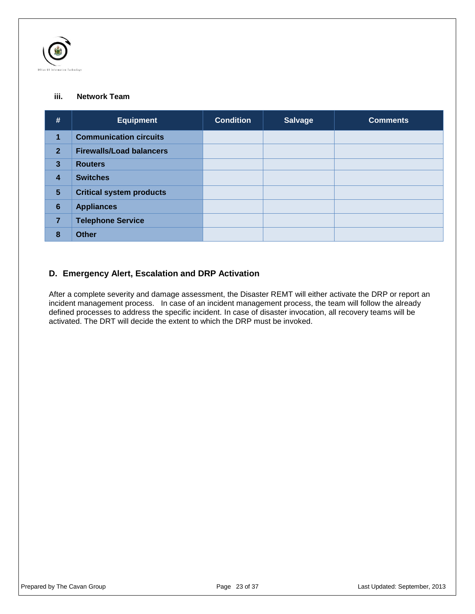

## **iii. Network Team**

| #                       | <b>Equipment</b>                | <b>Condition</b> | <b>Salvage</b> | <b>Comments</b> |
|-------------------------|---------------------------------|------------------|----------------|-----------------|
| 1                       | <b>Communication circuits</b>   |                  |                |                 |
| $\overline{2}$          | <b>Firewalls/Load balancers</b> |                  |                |                 |
| 3                       | <b>Routers</b>                  |                  |                |                 |
| $\overline{\mathbf{4}}$ | <b>Switches</b>                 |                  |                |                 |
| $5\phantom{.}$          | <b>Critical system products</b> |                  |                |                 |
| $6\phantom{a}$          | <b>Appliances</b>               |                  |                |                 |
| $\overline{7}$          | <b>Telephone Service</b>        |                  |                |                 |
| 8                       | <b>Other</b>                    |                  |                |                 |

# <span id="page-22-0"></span>**D. Emergency Alert, Escalation and DRP Activation**

After a complete severity and damage assessment, the Disaster REMT will either activate the DRP or report an incident management process. In case of an incident management process, the team will follow the already defined processes to address the specific incident. In case of disaster invocation, all recovery teams will be activated. The DRT will decide the extent to which the DRP must be invoked.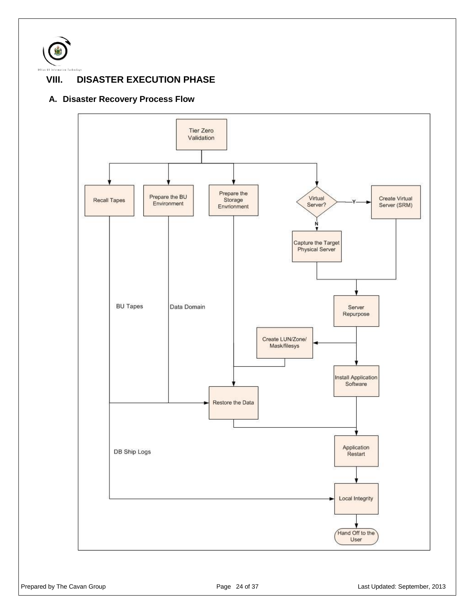

# <span id="page-23-0"></span>**VIII. DISASTER EXECUTION PHASE**

# <span id="page-23-1"></span>**A. Disaster Recovery Process Flow**

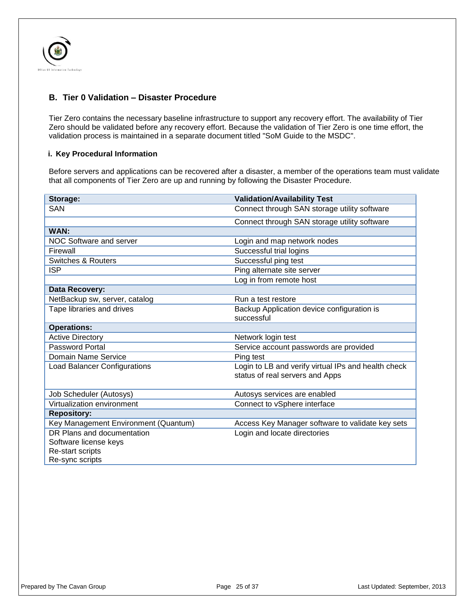

## <span id="page-24-0"></span>**B. Tier 0 Validation – Disaster Procedure**

Tier Zero contains the necessary baseline infrastructure to support any recovery effort. The availability of Tier Zero should be validated before any recovery effort. Because the validation of Tier Zero is one time effort, the validation process is maintained in a separate document titled "SoM Guide to the MSDC".

#### **i. Key Procedural Information**

Before servers and applications can be recovered after a disaster, a member of the operations team must validate that all components of Tier Zero are up and running by following the Disaster Procedure.

| Storage:                             | <b>Validation/Availability Test</b>                 |
|--------------------------------------|-----------------------------------------------------|
| SAN                                  | Connect through SAN storage utility software        |
|                                      | Connect through SAN storage utility software        |
| WAN:                                 |                                                     |
| NOC Software and server              | Login and map network nodes                         |
| Firewall                             | Successful trial logins                             |
| <b>Switches &amp; Routers</b>        | Successful ping test                                |
| <b>ISP</b>                           | Ping alternate site server                          |
|                                      | Log in from remote host                             |
| Data Recovery:                       |                                                     |
| NetBackup sw, server, catalog        | Run a test restore                                  |
| Tape libraries and drives            | Backup Application device configuration is          |
|                                      | successful                                          |
| <b>Operations:</b>                   |                                                     |
| <b>Active Directory</b>              | Network login test                                  |
| Password Portal                      | Service account passwords are provided              |
| Domain Name Service                  | Ping test                                           |
| <b>Load Balancer Configurations</b>  | Login to LB and verify virtual IPs and health check |
|                                      | status of real servers and Apps                     |
|                                      |                                                     |
| Job Scheduler (Autosys)              | Autosys services are enabled                        |
| Virtualization environment           | Connect to vSphere interface                        |
| <b>Repository:</b>                   |                                                     |
| Key Management Environment (Quantum) | Access Key Manager software to validate key sets    |
| DR Plans and documentation           | Login and locate directories                        |
| Software license keys                |                                                     |
| Re-start scripts                     |                                                     |
| Re-sync scripts                      |                                                     |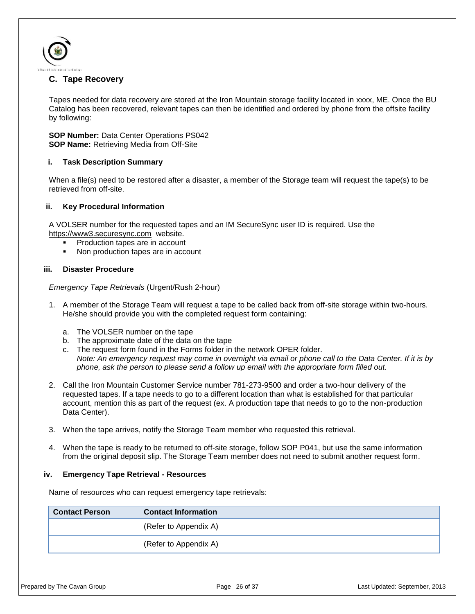

## <span id="page-25-0"></span>**C. Tape Recovery**

Tapes needed for data recovery are stored at the Iron Mountain storage facility located in xxxx, ME. Once the BU Catalog has been recovered, relevant tapes can then be identified and ordered by phone from the offsite facility by following:

**SOP Number:** Data Center Operations PS042 **SOP Name:** Retrieving Media from Off-Site

### **i. Task Description Summary**

When a file(s) need to be restored after a disaster, a member of the Storage team will request the tape(s) to be retrieved from off-site.

#### **ii. Key Procedural Information**

A VOLSER number for the requested tapes and an IM SecureSync user ID is required. Use the [https://www3.securesync.com](https://www3.securesync.com/) website.

- Production tapes are in account
- Non production tapes are in account

#### **iii. Disaster Procedure**

*Emergency Tape Retrievals* (Urgent/Rush 2-hour)

- 1. A member of the Storage Team will request a tape to be called back from off-site storage within two-hours. He/she should provide you with the completed request form containing:
	- a. The VOLSER number on the tape
	- b. The approximate date of the data on the tape
	- c. The request form found in the Forms folder in the network OPER folder. *Note: An emergency request may come in overnight via email or phone call to the Data Center. If it is by phone, ask the person to please send a follow up email with the appropriate form filled out.*
- 2. Call the Iron Mountain Customer Service number 781-273-9500 and order a two-hour delivery of the requested tapes. If a tape needs to go to a different location than what is established for that particular account, mention this as part of the request (ex. A production tape that needs to go to the non-production Data Center).
- 3. When the tape arrives, notify the Storage Team member who requested this retrieval.
- 4. When the tape is ready to be returned to off-site storage, follow SOP P041, but use the same information from the original deposit slip. The Storage Team member does not need to submit another request form.

### **iv. Emergency Tape Retrieval - Resources**

Name of resources who can request emergency tape retrievals:

| <b>Contact Person</b> | <b>Contact Information</b> |
|-----------------------|----------------------------|
|                       | (Refer to Appendix A)      |
|                       | (Refer to Appendix A)      |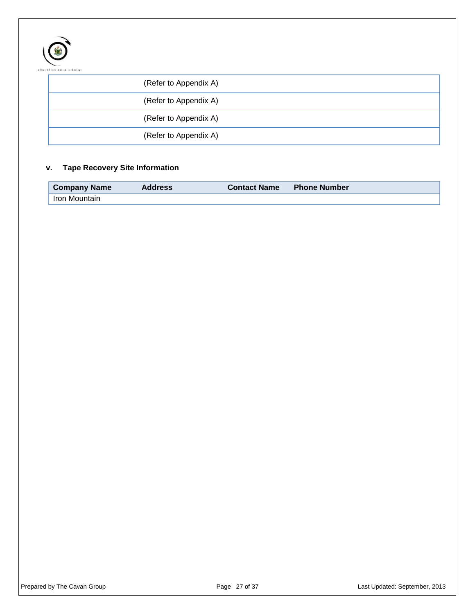

| (Refer to Appendix A) |  |
|-----------------------|--|
| (Refer to Appendix A) |  |
| (Refer to Appendix A) |  |
| (Refer to Appendix A) |  |

# **v. Tape Recovery Site Information**

| <b>Company Name</b> | <b>Address</b> | <b>Contact Name</b> | <b>Phone Number</b> |
|---------------------|----------------|---------------------|---------------------|
| Iron Mountain       |                |                     |                     |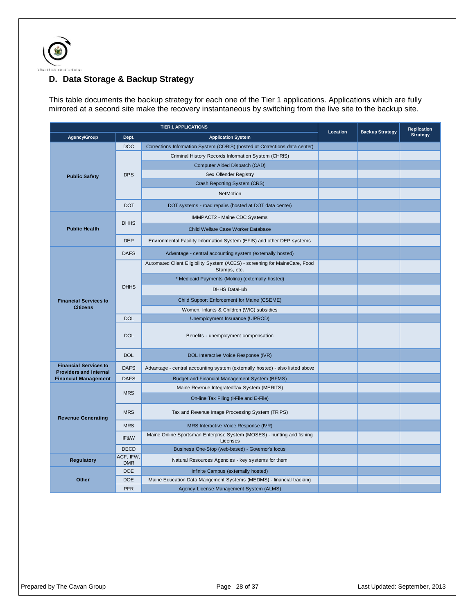

# <span id="page-27-0"></span>**D. Data Storage & Backup Strategy**

This table documents the backup strategy for each one of the Tier 1 applications. Applications which are fully mirrored at a second site make the recovery instantaneous by switching from the live site to the backup site.

| <b>TIER 1 APPLICATIONS</b>                                    |                                    |                                                                                            | Location | <b>Backup Strategy</b> | <b>Replication</b> |
|---------------------------------------------------------------|------------------------------------|--------------------------------------------------------------------------------------------|----------|------------------------|--------------------|
| Agency/Group                                                  | Dept.<br><b>Application System</b> |                                                                                            |          |                        | <b>Strategy</b>    |
|                                                               | <b>DOC</b>                         | Corrections Information System (CORIS) (hosted at Corrections data center)                 |          |                        |                    |
|                                                               | <b>DPS</b>                         | Criminal History Records Information System (CHRIS)                                        |          |                        |                    |
|                                                               |                                    | Computer Aided Dispatch (CAD)                                                              |          |                        |                    |
| <b>Public Safety</b>                                          |                                    | Sex Offender Registry                                                                      |          |                        |                    |
|                                                               |                                    | Crash Reporting System (CRS)                                                               |          |                        |                    |
|                                                               |                                    | <b>NetMotion</b>                                                                           |          |                        |                    |
|                                                               | <b>DOT</b>                         | DOT systems - road repairs (hosted at DOT data center)                                     |          |                        |                    |
|                                                               | <b>DHHS</b>                        | IMMPACT2 - Maine CDC Systems                                                               |          |                        |                    |
| <b>Public Health</b>                                          |                                    | Child Welfare Case Worker Database                                                         |          |                        |                    |
|                                                               | <b>DEP</b>                         | Environmental Facility Information System (EFIS) and other DEP systems                     |          |                        |                    |
|                                                               | <b>DAFS</b>                        | Advantage - central accounting system (externally hosted)                                  |          |                        |                    |
|                                                               |                                    | Automated Client Eligibility System (ACES) - screening for MaineCare, Food<br>Stamps, etc. |          |                        |                    |
|                                                               |                                    | * Medicaid Payments (Molina) (externally hosted)                                           |          |                        |                    |
|                                                               | <b>DHHS</b>                        | <b>DHHS DataHub</b>                                                                        |          |                        |                    |
| <b>Financial Services to</b>                                  |                                    | Child Support Enforcement for Maine (CSEME)                                                |          |                        |                    |
| <b>Citizens</b>                                               |                                    | Women, Infants & Children (WIC) subsidies                                                  |          |                        |                    |
|                                                               | <b>DOL</b>                         | Unemployment Insurance (UIPROD)                                                            |          |                        |                    |
|                                                               | <b>DOL</b>                         | Benefits - unemployment compensation                                                       |          |                        |                    |
|                                                               | <b>DOL</b>                         | DOL Interactive Voice Response (IVR)                                                       |          |                        |                    |
| <b>Financial Services to</b><br><b>Providers and Internal</b> | <b>DAFS</b>                        | Advantage - central accounting system (externally hosted) - also listed above              |          |                        |                    |
| <b>Financial Management</b>                                   | <b>DAFS</b>                        | Budget and Financial Management System (BFMS)                                              |          |                        |                    |
|                                                               | <b>MRS</b>                         | Maine Revenue IntegratedTax System (MERITS)                                                |          |                        |                    |
|                                                               |                                    | On-line Tax Filing (I-File and E-File)                                                     |          |                        |                    |
| <b>Revenue Generating</b>                                     | <b>MRS</b>                         | Tax and Revenue Image Processing System (TRIPS)                                            |          |                        |                    |
|                                                               | <b>MRS</b>                         | MRS Interactive Voice Response (IVR)                                                       |          |                        |                    |
|                                                               | IF&W                               | Maine Online Sportsman Enterprise System (MOSES) - hunting and fishing<br>Licenses         |          |                        |                    |
|                                                               | <b>DECD</b>                        | Business One-Stop (web-based) - Governor's focus                                           |          |                        |                    |
| ACF, IFW,<br><b>Regulatory</b><br><b>DMR</b>                  |                                    | Natural Resources Agencies - key systems for them                                          |          |                        |                    |
|                                                               | <b>DOE</b>                         | Infinite Campus (externally hosted)                                                        |          |                        |                    |
| Other                                                         | <b>DOE</b>                         | Maine Education Data Mangement Systems (MEDMS) - financial tracking                        |          |                        |                    |
|                                                               | <b>PFR</b>                         | Agency License Management System (ALMS)                                                    |          |                        |                    |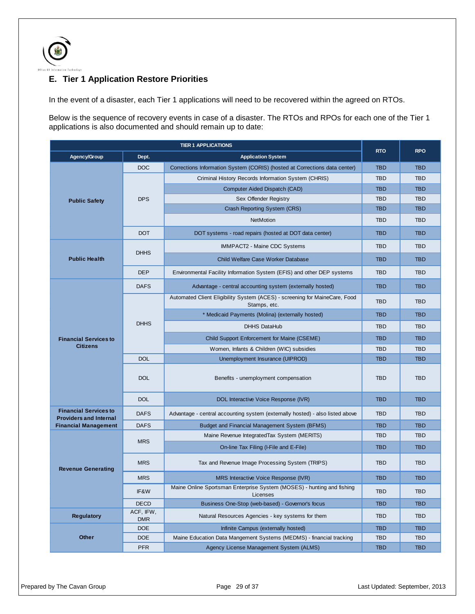

# <span id="page-28-0"></span>**E. Tier 1 Application Restore Priorities**

In the event of a disaster, each Tier 1 applications will need to be recovered within the agreed on RTOs.

Below is the sequence of recovery events in case of a disaster. The RTOs and RPOs for each one of the Tier 1 applications is also documented and should remain up to date:

| <b>TIER 1 APPLICATIONS</b>                                    |                         |                                                                                            | <b>RTO</b> | <b>RPO</b> |
|---------------------------------------------------------------|-------------------------|--------------------------------------------------------------------------------------------|------------|------------|
| Agency/Group                                                  | Dept.                   | <b>Application System</b>                                                                  |            |            |
|                                                               | DOC                     | Corrections Information System (CORIS) (hosted at Corrections data center)                 | <b>TBD</b> | <b>TBD</b> |
|                                                               |                         | Criminal History Records Information System (CHRIS)                                        | <b>TBD</b> | <b>TBD</b> |
|                                                               |                         | Computer Aided Dispatch (CAD)                                                              | <b>TBD</b> | <b>TBD</b> |
| <b>Public Safety</b>                                          | <b>DPS</b>              | Sex Offender Registry                                                                      | <b>TBD</b> | <b>TBD</b> |
|                                                               |                         | Crash Reporting System (CRS)                                                               | <b>TBD</b> | <b>TBD</b> |
|                                                               |                         | <b>NetMotion</b>                                                                           | <b>TBD</b> | <b>TBD</b> |
|                                                               | <b>DOT</b>              | DOT systems - road repairs (hosted at DOT data center)                                     | <b>TBD</b> | <b>TBD</b> |
|                                                               | <b>DHHS</b>             | <b>IMMPACT2 - Maine CDC Systems</b>                                                        | <b>TBD</b> | <b>TBD</b> |
| <b>Public Health</b>                                          |                         | Child Welfare Case Worker Database                                                         | <b>TBD</b> | <b>TBD</b> |
|                                                               | <b>DEP</b>              | Environmental Facility Information System (EFIS) and other DEP systems                     | <b>TBD</b> | <b>TBD</b> |
|                                                               | <b>DAFS</b>             | Advantage - central accounting system (externally hosted)                                  | <b>TBD</b> | <b>TBD</b> |
|                                                               |                         | Automated Client Eligibility System (ACES) - screening for MaineCare, Food<br>Stamps, etc. | <b>TBD</b> | <b>TBD</b> |
|                                                               |                         | * Medicaid Payments (Molina) (externally hosted)                                           | TBD        | <b>TBD</b> |
|                                                               | <b>DHHS</b>             | <b>DHHS DataHub</b>                                                                        | <b>TBD</b> | <b>TBD</b> |
| <b>Financial Services to</b>                                  |                         | Child Support Enforcement for Maine (CSEME)                                                | <b>TBD</b> | <b>TBD</b> |
| <b>Citizens</b>                                               |                         | Women, Infants & Children (WIC) subsidies                                                  | <b>TBD</b> | <b>TBD</b> |
|                                                               | <b>DOL</b>              | Unemployment Insurance (UIPROD)                                                            | TBD        | <b>TBD</b> |
|                                                               | <b>DOL</b>              | Benefits - unemployment compensation                                                       | <b>TBD</b> | <b>TBD</b> |
|                                                               | <b>DOL</b>              | DOL Interactive Voice Response (IVR)                                                       | <b>TBD</b> | <b>TBD</b> |
| <b>Financial Services to</b><br><b>Providers and Internal</b> | <b>DAFS</b>             | Advantage - central accounting system (externally hosted) - also listed above              |            | <b>TBD</b> |
| <b>Financial Management</b>                                   | <b>DAFS</b>             | <b>Budget and Financial Management System (BFMS)</b>                                       | <b>TBD</b> | <b>TBD</b> |
|                                                               | <b>MRS</b>              | Maine Revenue Integrated Tax System (MERITS)                                               | <b>TBD</b> | <b>TBD</b> |
|                                                               |                         | On-line Tax Filing (I-File and E-File)                                                     | <b>TBD</b> | <b>TBD</b> |
| <b>Revenue Generating</b>                                     | <b>MRS</b>              | Tax and Revenue Image Processing System (TRIPS)                                            | <b>TBD</b> | <b>TBD</b> |
|                                                               | <b>MRS</b>              | MRS Interactive Voice Response (IVR)                                                       | <b>TBD</b> | <b>TBD</b> |
|                                                               | IF&W                    | Maine Online Sportsman Enterprise System (MOSES) - hunting and fishing<br>Licenses         | TBD        | <b>TBD</b> |
|                                                               | <b>DECD</b>             | Business One-Stop (web-based) - Governor's focus                                           | <b>TBD</b> | <b>TBD</b> |
| <b>Regulatory</b>                                             | ACF, IFW,<br><b>DMR</b> | Natural Resources Agencies - key systems for them                                          |            | <b>TBD</b> |
|                                                               | DOE                     | Infinite Campus (externally hosted)                                                        | <b>TBD</b> | <b>TBD</b> |
| Other                                                         | <b>DOE</b>              | Maine Education Data Mangement Systems (MEDMS) - financial tracking                        | <b>TBD</b> | <b>TBD</b> |
|                                                               | <b>PFR</b>              | Agency License Management System (ALMS)                                                    | <b>TBD</b> | <b>TBD</b> |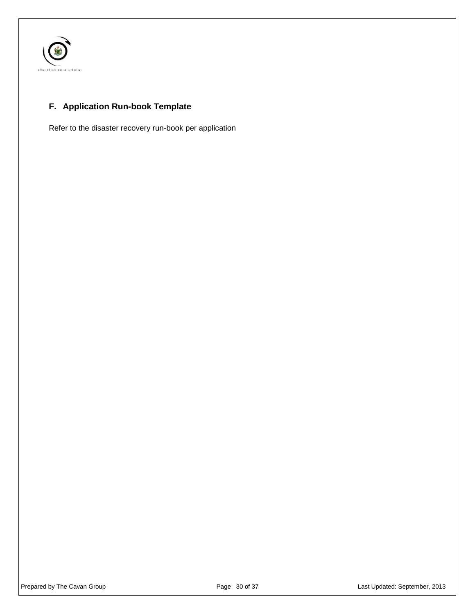

# <span id="page-29-0"></span>**F. Application Run-book Template**

Refer to the disaster recovery run-book per application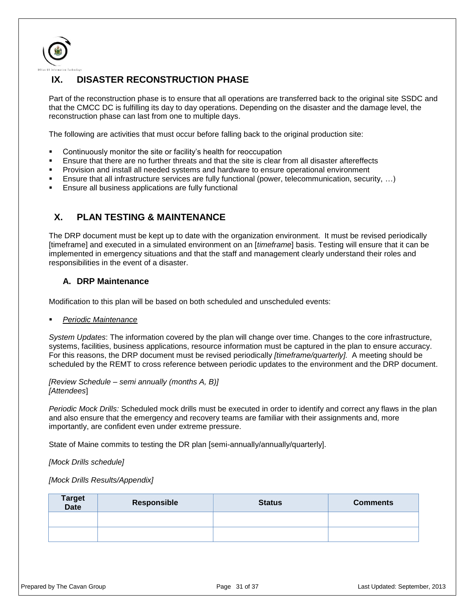

# <span id="page-30-0"></span>**IX. DISASTER RECONSTRUCTION PHASE**

Part of the reconstruction phase is to ensure that all operations are transferred back to the original site SSDC and that the CMCC DC is fulfilling its day to day operations. Depending on the disaster and the damage level, the reconstruction phase can last from one to multiple days.

The following are activities that must occur before falling back to the original production site:

- Continuously monitor the site or facility's health for reoccupation
- Ensure that there are no further threats and that the site is clear from all disaster aftereffects
- Provision and install all needed systems and hardware to ensure operational environment
- Ensure that all infrastructure services are fully functional (power, telecommunication, security, …)
- Ensure all business applications are fully functional

# <span id="page-30-1"></span>**X. PLAN TESTING & MAINTENANCE**

The DRP document must be kept up to date with the organization environment. It must be revised periodically [timeframe] and executed in a simulated environment on an [*timeframe*] basis. Testing will ensure that it can be implemented in emergency situations and that the staff and management clearly understand their roles and responsibilities in the event of a disaster.

## <span id="page-30-2"></span>**A. DRP Maintenance**

Modification to this plan will be based on both scheduled and unscheduled events:

### *Periodic Maintenance*

*System Updates*: The information covered by the plan will change over time. Changes to the core infrastructure, systems, facilities, business applications, resource information must be captured in the plan to ensure accuracy. For this reasons, the DRP document must be revised periodically *[timeframe/quarterly].* A meeting should be scheduled by the REMT to cross reference between periodic updates to the environment and the DRP document.

*[Review Schedule – semi annually (months A, B)] [Attendees*]

*Periodic Mock Drills:* Scheduled mock drills must be executed in order to identify and correct any flaws in the plan and also ensure that the emergency and recovery teams are familiar with their assignments and, more importantly, are confident even under extreme pressure.

State of Maine commits to testing the DR plan [semi-annually/annually/quarterly].

### *[Mock Drills schedule]*

*[Mock Drills Results/Appendix]*

| Target<br>Date | <b>Responsible</b> | <b>Status</b> | <b>Comments</b> |
|----------------|--------------------|---------------|-----------------|
|                |                    |               |                 |
|                |                    |               |                 |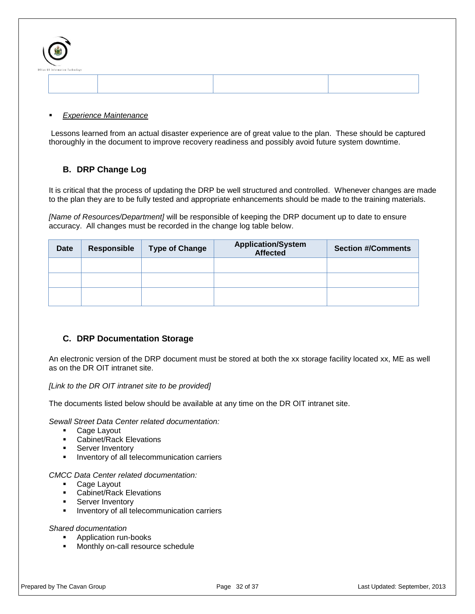| $\mathbf{A}$<br>Office Of Information Technology |  |  |
|--------------------------------------------------|--|--|
|                                                  |  |  |

#### *Experience Maintenance*

Lessons learned from an actual disaster experience are of great value to the plan. These should be captured thoroughly in the document to improve recovery readiness and possibly avoid future system downtime.

## <span id="page-31-0"></span>**B. DRP Change Log**

It is critical that the process of updating the DRP be well structured and controlled. Whenever changes are made to the plan they are to be fully tested and appropriate enhancements should be made to the training materials.

*[Name of Resources/Department]* will be responsible of keeping the DRP document up to date to ensure accuracy. All changes must be recorded in the change log table below.

| <b>Date</b> | <b>Responsible</b> | <b>Type of Change</b> | Application/System<br>Affected | <b>Section #/Comments</b> |
|-------------|--------------------|-----------------------|--------------------------------|---------------------------|
|             |                    |                       |                                |                           |
|             |                    |                       |                                |                           |
|             |                    |                       |                                |                           |

## <span id="page-31-1"></span>**C. DRP Documentation Storage**

An electronic version of the DRP document must be stored at both the xx storage facility located xx, ME as well as on the DR OIT intranet site.

*[Link to the DR OIT intranet site to be provided]*

The documents listed below should be available at any time on the DR OIT intranet site.

*Sewall Street Data Center related documentation:*

- **Cage Layout**
- **Cabinet/Rack Elevations**
- **Server Inventory**
- **Inventory of all telecommunication carriers**

#### *CMCC Data Center related documentation:*

- **Cage Layout**
- **Cabinet/Rack Elevations**
- Server Inventory
- **Inventory of all telecommunication carriers**

## *Shared documentation*

- **Application run-books**
- **Monthly on-call resource schedule**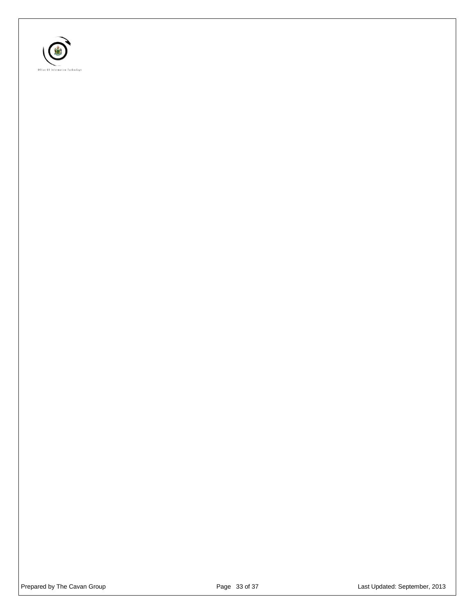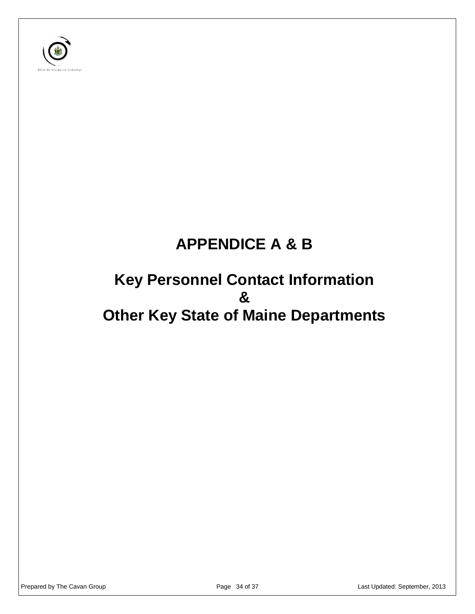

# **APPENDICE A & B**

# **Key Personnel Contact Information & Other Key State of Maine Departments**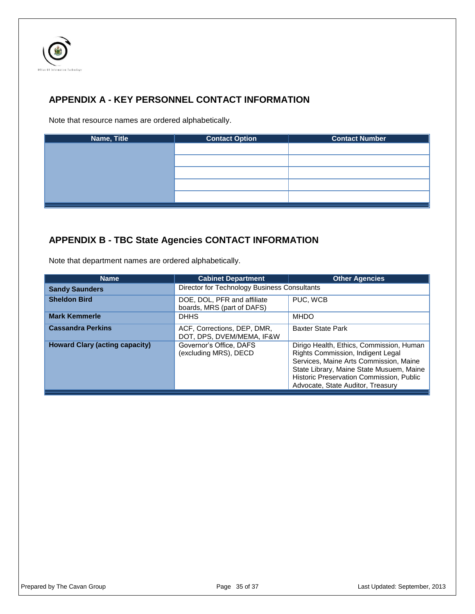

# <span id="page-34-0"></span>**APPENDIX A - KEY PERSONNEL CONTACT INFORMATION**

Note that resource names are ordered alphabetically.

| Name, Title | <b>Contact Option</b> | <b>Contact Number</b> |
|-------------|-----------------------|-----------------------|
|             |                       |                       |
|             |                       |                       |
|             |                       |                       |
|             |                       |                       |
|             |                       |                       |

# <span id="page-34-1"></span>**APPENDIX B - TBC State Agencies CONTACT INFORMATION**

| <b>Name</b>                           | <b>Cabinet Department</b>                                 | <b>Other Agencies</b>                                                                                                                                                                                                                                |  |
|---------------------------------------|-----------------------------------------------------------|------------------------------------------------------------------------------------------------------------------------------------------------------------------------------------------------------------------------------------------------------|--|
| <b>Sandy Saunders</b>                 | Director for Technology Business Consultants              |                                                                                                                                                                                                                                                      |  |
| <b>Sheldon Bird</b>                   | DOE, DOL, PFR and affiliate<br>boards, MRS (part of DAFS) | PUC, WCB                                                                                                                                                                                                                                             |  |
| <b>Mark Kemmerle</b>                  | <b>DHHS</b>                                               | <b>MHDO</b>                                                                                                                                                                                                                                          |  |
| <b>Cassandra Perkins</b>              | ACF, Corrections, DEP, DMR,<br>DOT, DPS, DVEM/MEMA, IF&W  | <b>Baxter State Park</b>                                                                                                                                                                                                                             |  |
| <b>Howard Clary (acting capacity)</b> | Governor's Office, DAFS<br>(excluding MRS), DECD          | Dirigo Health, Ethics, Commission, Human<br>Rights Commission, Indigent Legal<br>Services, Maine Arts Commission, Maine<br>State Library, Maine State Musuem, Maine<br>Historic Preservation Commission, Public<br>Advocate, State Auditor, Treasury |  |

Note that department names are ordered alphabetically.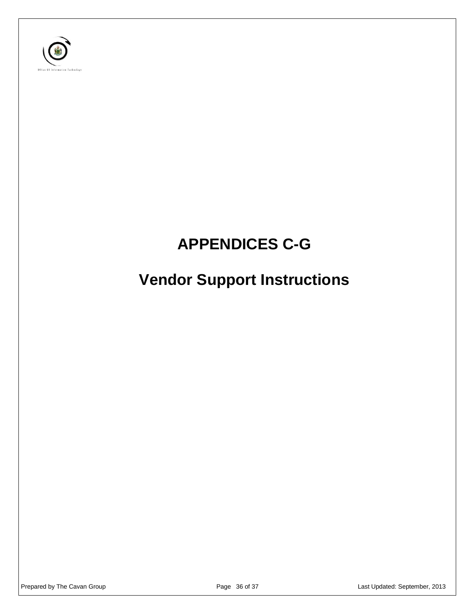

# **APPENDICES C-G**

# **Vendor Support Instructions**